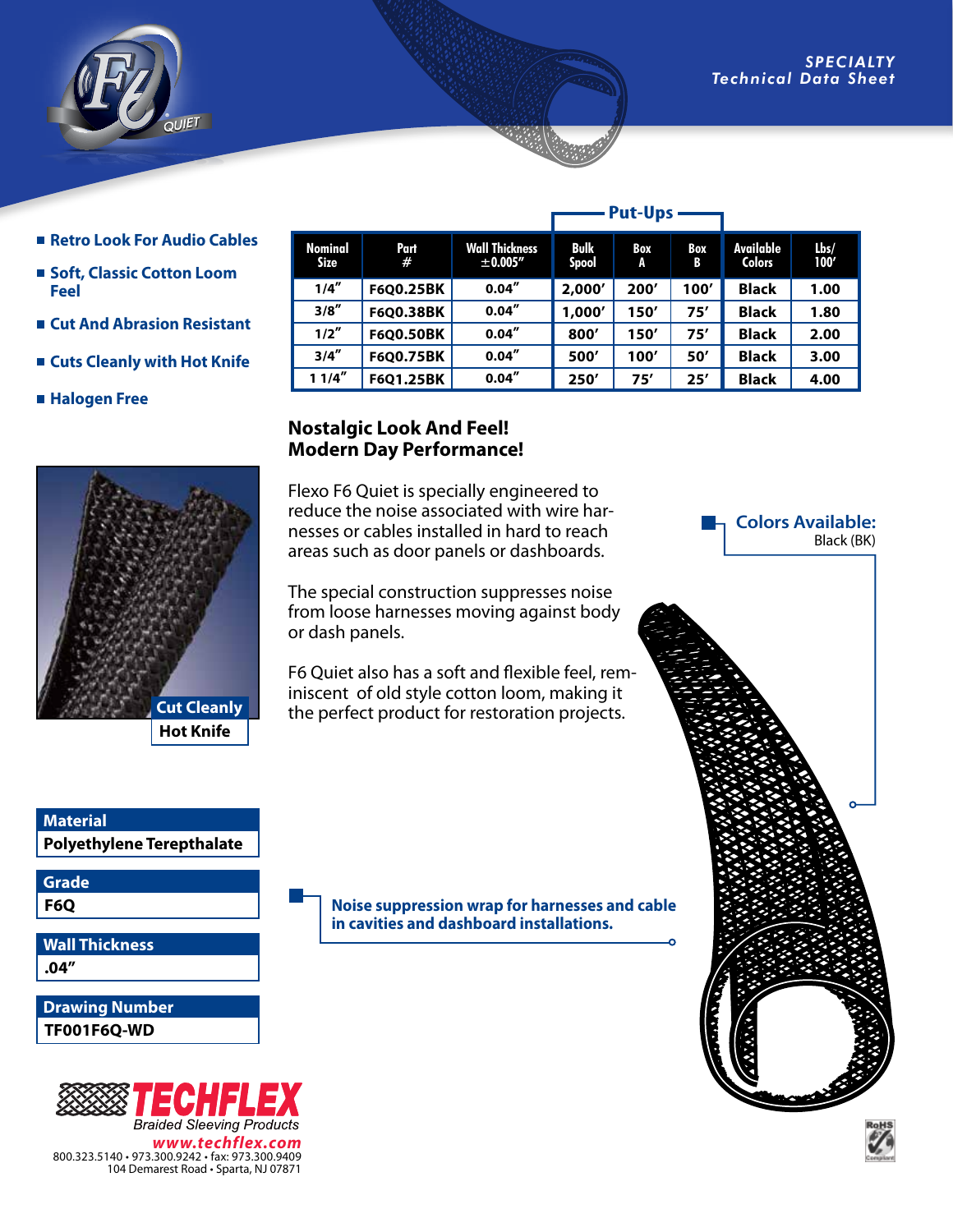

- Retro Look For Audio Cables
- Soft, Classic Cotton Loom **Feel**
- **Cut And Abrasion Resistant**
- **Cuts Cleanly with Hot Knife**
- **Halogen Free**



|                               |                  |                                       | . ul vpj             |          |                 |                            |                 |
|-------------------------------|------------------|---------------------------------------|----------------------|----------|-----------------|----------------------------|-----------------|
| <b>Nominal</b><br><b>Size</b> | Part<br>#        | <b>Wall Thickness</b><br>$\pm$ 0.005" | Bulk<br><b>Spool</b> | Box<br>A | <b>Box</b><br>B | Available<br><b>Colors</b> | $l$ bs/<br>100' |
| 1/4''                         | F6Q0.25BK        | 0.04''                                | 2,000'               | 200'     | 100'            | <b>Black</b>               | 1.00            |
| 3/8''                         | F6Q0.38BK        | 0.04''                                | 1,000'               | 150'     | 75'             | <b>Black</b>               | 1.80            |
| 1/2''                         | <b>F6Q0.50BK</b> | 0.04''                                | 800'                 | 150'     | 75'             | <b>Black</b>               | 2.00            |
| 3/4''                         | F6Q0.75BK        | 0.04''                                | 500'                 | 100'     | 50'             | <b>Black</b>               | 3.00            |
| 11/4''                        | F601.25BK        | 0.04''                                | 250'                 | 75'      | 25'             | <b>Black</b>               | 4.00            |

**Put-Ups**

## **Nostalgic Look And Feel! Modern Day Performance!**

Flexo F6 Quiet is specially engineered to reduce the noise associated with wire harnesses or cables installed in hard to reach areas such as door panels or dashboards.

The special construction suppresses noise from loose harnesses moving against body or dash panels.

F6 Quiet also has a soft and flexible feel, reminiscent of old style cotton loom, making it the perfect product for restoration projects.

**Colors Available:**  Black (BK)

**Polyethylene Terepthalate Material**

**Grade**

**F6Q**

**.04" Wall Thickness**

**TF001F6Q-WD Drawing Number**



104 Demarest Road • Sparta, NJ 07871

**Noise suppression wrap for harnesses and cable in cavities and dashboard installations.**